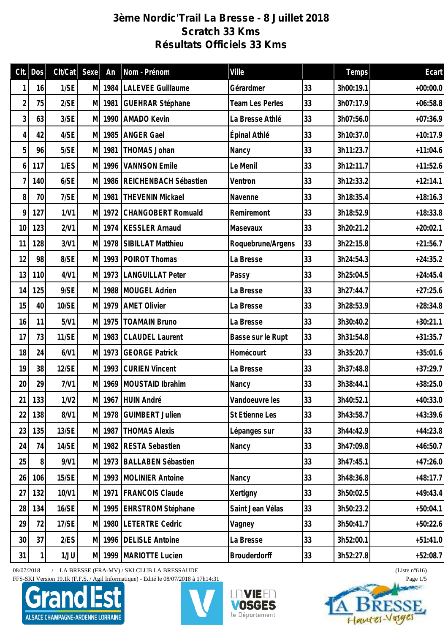## **3ème Nordic'Trail La Bresse - 8 Juillet 2018 Scratch 33 Kms Résultats Officiels 33 Kms**

| Clt.           | Dos    | Clt/Cat      | Sexe | An     | Nom - Prénom              | Ville                  |    | Temps     | Ecart      |
|----------------|--------|--------------|------|--------|---------------------------|------------------------|----|-----------|------------|
| 1              | 16     | 1/SE         | МI   | 1984   | <b>LALEVEE Guillaume</b>  | Gérardmer              | 33 | 3h00:19.1 | $+00:00.0$ |
| $\overline{2}$ | 75     | 2/SE         | M    | 1981   | <b>GUEHRAR Stéphane</b>   | <b>Team Les Perles</b> | 33 | 3h07:17.9 | $+06:58.8$ |
| 3              | 63     | 3/SE         | M.   | 1990   | <b>AMADO Kevin</b>        | La Bresse Athlé        | 33 | 3h07:56.0 | $+07:36.9$ |
| 4              | 42     | 4/SE         | M.   | 1985   | <b>ANGER Gael</b>         | Épinal Athlé           | 33 | 3h10:37.0 | $+10:17.9$ |
| 5              | 96     | 5/SE         | M    | 1981   | THOMAS Johan              | Nancy                  | 33 | 3h11:23.7 | $+11:04.6$ |
| 6              | 117    | 1/ES         | M    | 1996   | <b>VANNSON Emile</b>      | Le Menil               | 33 | 3h12:11.7 | $+11:52.6$ |
| $\overline{7}$ | 140    | 6/SE         | M    | 1986   | REICHENBACH Sébastien     | Ventron                | 33 | 3h12:33.2 | $+12:14.1$ |
| 8              | 70     | 7/SE         | M    | 1981   | <b>THEVENIN Mickael</b>   | Navenne                | 33 | 3h18:35.4 | $+18:16.3$ |
| 9              | 127    | 1/V1         | M    | 1972   | CHANGOBERT Romuald        | Remiremont             | 33 | 3h18:52.9 | $+18:33.8$ |
| 10             | 123    | 2/V1         | M    | 1974   | <b>KESSLER Arnaud</b>     | Masevaux               | 33 | 3h20:21.2 | $+20:02.1$ |
| 11             | 128    | 3/V1         | M    | 1978   | SIBILLAT Matthieu         | Roquebrune/Argens      | 33 | 3h22:15.8 | $+21:56.7$ |
| 12             | 98     | 8/SE         | M    |        | 1993 POIROT Thomas        | La Bresse              | 33 | 3h24:54.3 | $+24:35.2$ |
| 13             | 110    | 4/V1         | M    |        | 1973   LANGUILLAT Peter   | Passy                  | 33 | 3h25:04.5 | $+24:45.4$ |
| 14             | 125    | 9/SE         | M    | 1988   | MOUGEL Adrien             | La Bresse              | 33 | 3h27:44.7 | $+27:25.6$ |
| 15             | 40     | 10/SE        | M.   | 1979   | <b>AMET Olivier</b>       | La Bresse              | 33 | 3h28:53.9 | $+28:34.8$ |
| 16             | 11     | 5/V1         |      | M 1975 | <b>TOAMAIN Bruno</b>      | La Bresse              | 33 | 3h30:40.2 | $+30:21.1$ |
| 17             | 73     | <b>11/SE</b> | M    | 1983   | <b>CLAUDEL Laurent</b>    | Basse sur le Rupt      | 33 | 3h31:54.8 | $+31:35.7$ |
| 18             | 24     | 6/V1         | M    | 1973   | <b>GEORGE Patrick</b>     | Homécourt              | 33 | 3h35:20.7 | $+35:01.6$ |
| 19             | 38     | 12/SE        |      | M 1993 | <b>CURIEN Vincent</b>     | La Bresse              | 33 | 3h37:48.8 | $+37:29.7$ |
| 20             | 29     | 7/V1         | M    | 1969   | MOUSTAID Ibrahim          | Nancy                  | 33 | 3h38:44.1 | $+38:25.0$ |
|                | 21 133 | 1/N2         |      |        | M   1967 HUIN André       | Vandoeuvre les         | 33 | 3h40:52.1 | $+40:33.0$ |
| 22             | 138    | 8/V1         |      |        | M 1978 GUIMBERT Julien    | St Etienne Les         | 33 | 3h43:58.7 | $+43:39.6$ |
| 23             | 135    | 13/SE        |      | M 1987 | <b>THOMAS Alexis</b>      | Lépanges sur           | 33 | 3h44:42.9 | $+44:23.8$ |
| 24             | 74     | 14/SE        |      | M 1982 | <b>RESTA Sebastien</b>    | Nancy                  | 33 | 3h47:09.8 | $+46:50.7$ |
| 25             | 8      | 9/N1         |      |        | M 1973 BALLABEN Sébastien |                        | 33 | 3h47:45.1 | $+47:26.0$ |
| 26             | 106    | 15/SE        |      | M 1993 | MOLINIER Antoine          | Nancy                  | 33 | 3h48:36.8 | $+48:17.7$ |
| 27             | 132    | 10/V1        |      |        | M 1971   FRANCOIS Claude  | Xertigny               | 33 | 3h50:02.5 | $+49:43.4$ |
| 28             | 134    | 16/SE        |      | M 1995 | <b>EHRSTROM Stéphane</b>  | Saint Jean Vélas       | 33 | 3h50:23.2 | $+50:04.1$ |
| 29             | 72     | 17/SE        |      | M 1980 | <b>LETERTRE Cedric</b>    | Vagney                 | 33 | 3h50:41.7 | $+50:22.6$ |
| 30             | 37     | 2/ES         |      | M 1996 | <b>DELISLE Antoine</b>    | La Bresse              | 33 | 3h52:00.1 | $+51:41.0$ |
| 31             |        | 1/JU         |      | M 1999 | MARIOTTE Lucien           | <b>Brouderdorff</b>    | 33 | 3h52:27.8 | $+52:08.7$ |

08/07/2018 / LA BRESSE (FRA-MV) / SKI CLUB LA BRESSAUDE (Liste n°616)

FFS-SKI Version 19.1k (F.F.S. / Agil Informatique) - Edité le 08/07/2018 à 17h14:31 Page 1/5







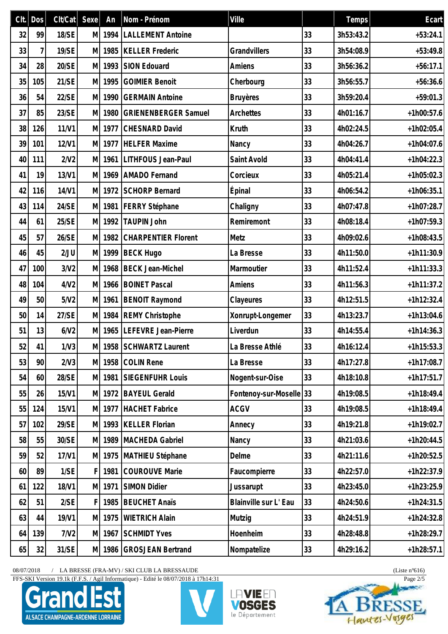|    | $Clt.$ Dos | Clt/Cat | Sexe | An     | Nom - Prénom                | Ville                |    | Temps     | Ecart        |
|----|------------|---------|------|--------|-----------------------------|----------------------|----|-----------|--------------|
| 32 | 99         | 18/SE   | M    | 1994   | <b>LALLEMENT Antoine</b>    |                      | 33 | 3h53:43.2 | $+53:24.1$   |
| 33 | 7          | 19/SE   | M    | 1985   | <b>KELLER Frederic</b>      | Grandvillers         | 33 | 3h54:08.9 | $+53:49.8$   |
| 34 | 28         | 20/SE   | M    | 1993   | <b>SION Edouard</b>         | Amiens               | 33 | 3h56:36.2 | $+56:17.1$   |
| 35 | 105        | 21/SE   | M    | 1995   | <b>GOIMIER Benoit</b>       | Cherbourg            | 33 | 3h56:55.7 | $+56:36.6$   |
| 36 | 54         | 22/SE   | M    | 1990   | <b>GERMAIN Antoine</b>      | <b>Bruyères</b>      | 33 | 3h59:20.4 | $+59:01.3$   |
| 37 | 85         | 23/SE   | M    | 1980   | <b>GRIENENBERGER Samuel</b> | Archettes            | 33 | 4h01:16.7 | $+1h00:57.6$ |
| 38 | 126        | 11/N1   | M    | 1977   | <b>CHESNARD David</b>       | Kruth                | 33 | 4h02:24.5 | $+1h02:05.4$ |
| 39 | 101        | 12/V1   | M    | 1977   | <b>HELFER Maxime</b>        | Nancy                | 33 | 4h04:26.7 | $+1h04:07.6$ |
| 40 | 111        | 2/N2    | M    | 1961   | LITHFOUS Jean-Paul          | Saint Avold          | 33 | 4h04:41.4 | $+1h04:22.3$ |
| 41 | 19         | 13/V1   | M    | 1969   | <b>AMADO</b> Fernand        | Corcieux             | 33 | 4h05:21.4 | $+1h05:02.3$ |
| 42 | 116        | 14/V1   | M    | 1972   | <b>SCHORP Bernard</b>       | Épinal               | 33 | 4h06:54.2 | $+1h06:35.1$ |
| 43 | 114        | 24/SE   | M    |        | 1981   FERRY Stéphane       | Chaligny             | 33 | 4h07:47.8 | $+1h07:28.7$ |
| 44 | 61         | 25/SE   | M    | 1992   | <b>TAUPIN John</b>          | Remiremont           | 33 | 4h08:18.4 | $+1h07:59.3$ |
| 45 | 57         | 26/SE   | M    | 1982   | <b>CHARPENTIER Florent</b>  | Metz                 | 33 | 4h09:02.6 | $+1h08:43.5$ |
| 46 | 45         | 2/JU    | M    | 1999   | <b>BECK Hugo</b>            | La Bresse            | 33 | 4h11:50.0 | $+1h11:30.9$ |
| 47 | 100        | 3/N2    | M    | 1968   | <b>BECK Jean-Michel</b>     | Marmoutier           | 33 | 4h11:52.4 | $+1h11:33.3$ |
| 48 | 104        | 4/N2    | M    | 1966   | <b>BOINET Pascal</b>        | Amiens               | 33 | 4h11:56.3 | $+1h11:37.2$ |
| 49 | 50         | 5/N2    | M    | 1961   | <b>BENOIT Raymond</b>       | Clayeures            | 33 | 4h12:51.5 | $+1h12:32.4$ |
| 50 | 14         | 27/SE   |      |        | M 1984 REMY Christophe      | Xonrupt-Longemer     | 33 | 4h13:23.7 | $+1h13:04.6$ |
| 51 | 13         | 6/N2    | M    | 1965   | LEFEVRE Jean-Pierre         | Liverdun             | 33 | 4h14:55.4 | $+1h14:36.3$ |
| 52 | 41         | 1/N3    |      |        | M 1958 SCHWARTZ Laurent     | La Bresse Athlé      | 33 | 4h16:12.4 | $+1h15:53.3$ |
| 53 | 90         | 2/N3    | M    | 1958   | <b>COLIN Rene</b>           | La Bresse            | 33 | 4h17:27.8 | $+1h17:08.7$ |
| 54 | 60         | 28/SE   |      | M 1981 | SIEGENFUHR Louis            | Nogent-sur-Oise      | 33 | 4h18:10.8 | $+1h17:51.7$ |
| 55 | 26         | 15/V1   | M    | 1972   | <b>BAYEUL Gerald</b>        | Fontenoy-sur-Moselle | 33 | 4h19:08.5 | $+1h18:49.4$ |
| 55 | 124        | 15/V1   | M    | 1977   | <b>HACHET Fabrice</b>       | <b>ACGV</b>          | 33 | 4h19:08.5 | $+1h18:49.4$ |
| 57 | 102        | 29/SE   | M    | 1993   | <b>KELLER Florian</b>       | Annecy               | 33 | 4h19:21.8 | $+1h19:02.7$ |
| 58 | 55         | 30/SE   | M    | 1989   | MACHEDA Gabriel             | Nancy                | 33 | 4h21:03.6 | $+1h20:44.5$ |
| 59 | 52         | 17/V1   | M    | 1975   | MATHIEU Stéphane            | Delme                | 33 | 4h21:11.6 | $+1h20:52.5$ |
| 60 | 89         | 1/SE    | F    | 1981   | <b>COUROUVE Marie</b>       | Faucompierre         | 33 | 4h22:57.0 | $+1h22:37.9$ |
| 61 | 122        | 18/V1   |      | M 1971 | SIMON Didier                | Jussarupt            | 33 | 4h23:45.0 | $+1h23:25.9$ |
| 62 | 51         | 2/SE    | F    | 1985   | <b>BEUCHET Anaïs</b>        | Blainville sur L'Eau | 33 | 4h24:50.6 | $+1h24:31.5$ |
| 63 | 44         | 19/V1   | M    | 1975   | <b>WIETRICH Alain</b>       | Mutzig               | 33 | 4h24:51.9 | $+1h24:32.8$ |
| 64 | 139        | 7/V2    | M    | 1967   | <b>SCHMIDT Yves</b>         | Hoenheim             | 33 | 4h28:48.8 | $+1h28:29.7$ |
| 65 | 32         | 31/SE   |      | M 1986 | <b>GROSJEAN Bertrand</b>    | Nompatelize          | 33 | 4h29:16.2 | $+1h28:57.1$ |

FFS-SKI Version 19.1k (F.F.S. / Agil Informatique) - Edité le 08/07/2018 à 17h14:31 Page 2/5







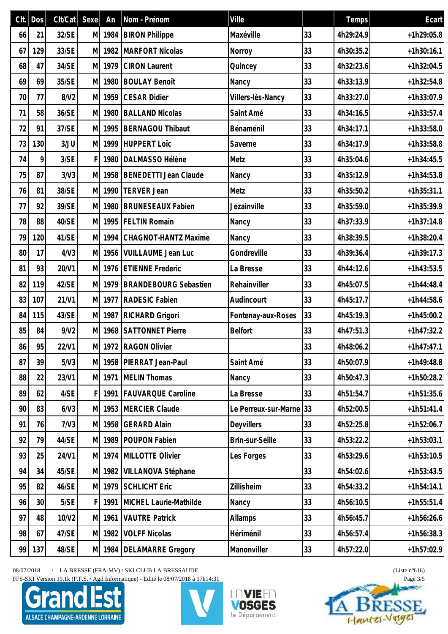|    | $Clt.$ Dos      | Clt/Cat | Sexe <sup>]</sup> | An     | Nom - Prénom                 | Ville                   |    | Temps     | Ecart        |
|----|-----------------|---------|-------------------|--------|------------------------------|-------------------------|----|-----------|--------------|
| 66 | 21              | 32/SE   | M                 | 1984   | <b>BIRON Philippe</b>        | Maxéville               | 33 | 4h29:24.9 | $+1h29:05.8$ |
| 67 | 129             | 33/SE   | M                 | 1982   | <b>MARFORT Nicolas</b>       | Norroy                  | 33 | 4h30:35.2 | $+1h30:16.1$ |
| 68 | 47              | 34/SE   | M                 | 1979   | <b>CIRON Laurent</b>         | Quincey                 | 33 | 4h32:23.6 | $+1h32:04.5$ |
| 69 | 69              | 35/SE   | M                 | 1980   | <b>BOULAY Benoît</b>         | Nancy                   | 33 | 4h33:13.9 | $+1h32:54.8$ |
| 70 | 77              | 8/V2    | M                 | 1959   | <b>CESAR Didier</b>          | Villers-lès-Nancy       | 33 | 4h33:27.0 | $+1h33:07.9$ |
| 71 | 58              | 36/SE   | M                 | 1980   | <b>BALLAND Nicolas</b>       | Saint Amé               | 33 | 4h34:16.5 | $+1h33:57.4$ |
| 72 | 91              | 37/SE   | M                 | 1995   | <b>BERNAGOU Thibaut</b>      | Bénaménil               | 33 | 4h34:17.1 | $+1h33:58.0$ |
| 73 | 130             | 3/JU    | M                 | 1999   | HUPPERT Loïc                 | Saverne                 | 33 | 4h34:17.9 | $+1h33:58.8$ |
| 74 | 9               | 3/SE    | F                 | 1980   | DALMASSO Hélène              | Metz                    | 33 | 4h35:04.6 | $+1h34:45.5$ |
| 75 | 87              | 3/N3    | M                 | 1958   | BENEDETTI Jean Claude        | Nancy                   | 33 | 4h35:12.9 | $+1h34:53.8$ |
| 76 | 81              | 38/SE   | M                 | 1990   | TERVER Jean                  | Metz                    | 33 | 4h35:50.2 | $+1h35:31.1$ |
| 77 | 92              | 39/SE   | МI                | 1980   | <b>BRUNESEAUX Fabien</b>     | Jezainville             | 33 | 4h35:59.0 | $+1h35:39.9$ |
| 78 | 88              | 40/SE   | M                 | 1995   | <b>FELTIN Romain</b>         | Nancy                   | 33 | 4h37:33.9 | $+1h37:14.8$ |
| 79 | 120             | 41/SE   | M                 | 1994   | CHAGNOT-HANTZ Maxime         | Nancy                   | 33 | 4h38:39.5 | $+1h38:20.4$ |
| 80 | 17              | 4/N3    | M                 | 1956   | VUILLAUME Jean Luc           | Gondreville             | 33 | 4h39:36.4 | $+1h39:17.3$ |
| 81 | 93              | 20/V1   | M                 | 1976   | <b>ETIENNE Frederic</b>      | La Bresse               | 33 | 4h44:12.6 | $+1h43:53.5$ |
| 82 | 119             | 42/SE   | M                 | 1979   | <b>BRANDEBOURG Sebastien</b> | Rehainviller            | 33 | 4h45:07.5 | $+1h44:48.4$ |
| 83 | 107             | 21/V1   | M                 | 1977   | <b>RADESIC Fabien</b>        | Audincourt              | 33 | 4h45:17.7 | $+1h44:58.6$ |
| 84 | 115             | 43/SE   | МI                | 1987   | RICHARD Grigori              | Fontenay-aux-Roses      | 33 | 4h45:19.3 | $+1h45:00.2$ |
| 85 | 84              | 9/N2    | M                 | 1968   | <b>SATTONNET Pierre</b>      | <b>Belfort</b>          | 33 | 4h47:51.3 | $+1h47:32.2$ |
| 86 | 95              | 22/V1   |                   |        | M 1972 RAGON Olivier         |                         | 33 | 4h48:06.2 | $+1h47:47.1$ |
| 87 | 39              | 5/N3    | M                 | 1958   | PIERRAT Jean-Paul            | Saint Amé               | 33 | 4h50:07.9 | $+1h49:48.8$ |
| 88 | 22              | 23/V1   |                   | M 1971 | MELIN Thomas                 | Nancy                   | 33 | 4h50:47.3 | $+1h50:28.2$ |
| 89 | 62              | 4/SE    | F                 | 1991   | <b>FAUVARQUE Caroline</b>    | La Bresse               | 33 | 4h51:54.7 | $+1h51:35.6$ |
| 90 | 83              | 6/V3    | M                 | 1953   | MERCIER Claude               | Le Perreux-sur-Marne 33 |    | 4h52:00.5 | $+1h51:41.4$ |
| 91 | 76              | 7/N3    | M                 | 1958   | <b>GERARD Alain</b>          | Deyvillers              | 33 | 4h52:25.8 | $+1h52:06.7$ |
| 92 | 79              | 44/SE   | M                 | 1989   | POUPON Fabien                | Brin-sur-Seille         | 33 | 4h53:22.2 | $+1h53:03.1$ |
| 93 | 25              | 24/V1   |                   | M 1974 | MILLOTTE Olivier             | Les Forges              | 33 | 4h53:29.6 | $+1h53:10.5$ |
| 94 | 34              | 45/SE   | M                 | 1982   | VILLANOVA Stéphane           |                         | 33 | 4h54:02.6 | $+1h53:43.5$ |
| 95 | 82              | 46/SE   |                   | M 1979 | <b>SCHLICHT Eric</b>         | Zillisheim              | 33 | 4h54:33.2 | $+1h54:14.1$ |
| 96 | 30 <sup>°</sup> | 5/SE    | F                 | 1991   | MICHEL Laurie-Mathilde       | Nancy                   | 33 | 4h56:10.5 | $+1h55:51.4$ |
| 97 | 48              | 10/V2   | M                 | 1961   | <b>VAUTRE Patrick</b>        | Allamps                 | 33 | 4h56:45.7 | $+1h56:26.6$ |
| 98 | 67              | 47/SE   | M                 | 1982   | <b>VOLFF Nicolas</b>         | Hériménil               | 33 | 4h56:57.4 | $+1h56:38.3$ |
| 99 | 137             | 48/SE   |                   | M 1984 | <b>DELAMARRE Gregory</b>     | Manonviller             | 33 | 4h57:22.0 | $+1h57:02.9$ |

FFS-SKI Version 19.1k (F.F.S. / Agil Informatique) - Edité le 08/07/2018 à 17h14:31 Page 3/5







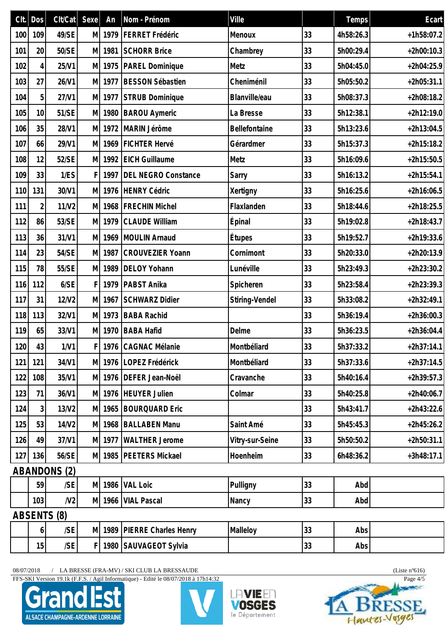| Clt. | <b>Dos</b>     | Clt/Cat             | Sexe | An   | Nom - Prénom                  | Ville           |    | Temps     | Ecart        |
|------|----------------|---------------------|------|------|-------------------------------|-----------------|----|-----------|--------------|
| 100  | 109            | 49/SE               | M    | 1979 | FERRET Frédéric               | Menoux          | 33 | 4h58:26.3 | $+1h58:07.2$ |
| 101  | 20             | 50/SE               | M    | 1981 | <b>SCHORR Brice</b>           | Chambrey        | 33 | 5h00:29.4 | $+2h00:10.3$ |
| 102  | $\vert$        | 25/V1               | M    |      | 1975   PAREL Dominique        | Metz            | 33 | 5h04:45.0 | $+2h04:25.9$ |
| 103  | 27             | 26/V1               | M    | 1977 | <b>BESSON Sébastien</b>       | Cheniménil      | 33 | 5h05:50.2 | $+2h05:31.1$ |
| 104  | 5              | 27/V1               | M    | 1977 | STRUB Dominique               | Blanville/eau   | 33 | 5h08:37.3 | $+2h08:18.2$ |
| 105  | 10             | 51/SE               | M    | 1980 | <b>BAROU Aymeric</b>          | La Bresse       | 33 | 5h12:38.1 | $+2h12:19.0$ |
| 106  | 35             | 28/V1               | M    |      | 1972 MARIN Jérôme             | Bellefontaine   | 33 | 5h13:23.6 | $+2h13:04.5$ |
| 107  | 66             | 29/V1               | M    | 1969 | FICHTER Hervé                 | Gérardmer       | 33 | 5h15:37.3 | $+2h15:18.2$ |
| 108  | 12             | 52/SE               | M    | 1992 | <b>EICH Guillaume</b>         | Metz            | 33 | 5h16:09.6 | $+2h15:50.5$ |
| 109  | 33             | 1/ES                | F    | 1997 | <b>DEL NEGRO Constance</b>    | Sarry           | 33 | 5h16:13.2 | $+2h15:54.1$ |
| 110  | 131            | 30/V1               | M    | 1976 | HENRY Cédric                  | Xertigny        | 33 | 5h16:25.6 | $+2h16:06.5$ |
| 111  | 2              | 11/V2               | M    |      | 1968   FRECHIN Michel         | Flaxlanden      | 33 | 5h18:44.6 | $+2h18:25.5$ |
| 112  | 86             | 53/SE               | M    | 1979 | <b>CLAUDE William</b>         | <b>Épinal</b>   | 33 | 5h19:02.8 | $+2h18:43.7$ |
| 113  | 36             | 31/V1               | M    | 1969 | MOULIN Arnaud                 | Étupes          | 33 | 5h19:52.7 | $+2h19:33.6$ |
| 114  | 23             | 54/SE               | M    | 1987 | <b>CROUVEZIER Yoann</b>       | Cornimont       | 33 | 5h20:33.0 | $+2h20:13.9$ |
| 115  | 78             | 55/SE               | M    | 1989 | <b>DELOY Yohann</b>           | Lunéville       | 33 | 5h23:49.3 | $+2h23:30.2$ |
| 116  | 112            | 6/SE                | F    | 1979 | PABST Anika                   | Spicheren       | 33 | 5h23:58.4 | $+2h23:39.3$ |
| 117  | 31             | 12/V2               | M    | 1967 | <b>SCHWARZ Didier</b>         | Stiring-Vendel  | 33 | 5h33:08.2 | $+2h32:49.1$ |
| 118  | 113            | 32/V1               | M    | 1973 | <b>BABA Rachid</b>            |                 | 33 | 5h36:19.4 | $+2h36:00.3$ |
| 119  | 65             | 33/V1               | M    | 1970 | <b>BABA Hafid</b>             | Delme           | 33 | 5h36:23.5 | $+2h36:04.4$ |
| 120  | 43             | 1/N1                |      |      | F 1976 CAGNAC Mélanie         | Montbéliard     | 33 | 5h37:33.2 | $+2h37:14.1$ |
| 121  | 121            | 34/V1               |      |      | M 1976 LOPEZ Frédérick        | Montbéliard     | 33 | 5h37:33.6 | $+2h37:14.5$ |
| 122  | 108            | 35/V1               |      |      | M 1976 DEFER Jean-Noël        | Cravanche       | 33 | 5h40:16.4 | $+2h39:57.3$ |
| 123  | 71             | 36/V1               |      |      | M 1976 HEUYER Julien          | Colmar          | 33 | 5h40:25.8 | $+2h40:06.7$ |
| 124  | 3 <sup>1</sup> | 13/V2               | M    |      | 1965 BOURQUARD Eric           |                 | 33 | 5h43:41.7 | $+2h43:22.6$ |
| 125  | 53             | 14/V2               | M    |      | 1968   BALLABEN Manu          | Saint Amé       | 33 | 5h45:45.3 | $+2h45:26.2$ |
| 126  | 49             | 37/V1               |      |      | M 1977 WALTHER Jerome         | Vitry-sur-Seine | 33 | 5h50:50.2 | $+2h50:31.1$ |
| 127  | 136            | 56/SE               |      |      | M 1985   PEETERS Mickael      | Hoenheim        | 33 | 6h48:36.2 | $+3h48:17.1$ |
|      |                | <b>ABANDONS (2)</b> |      |      |                               |                 |    |           |              |
|      | 59             | /SE                 |      |      | M 1986 VAL Loic               | Pulligny        | 33 | Abd       |              |
|      | 103            | N <sub>2</sub>      |      |      | M 1966 VIAL Pascal            | Nancy           | 33 | Abd       |              |
|      |                | ABSENTS (8)         |      |      |                               |                 |    |           |              |
|      | $\overline{6}$ | /SE                 |      |      | M 1989   PIERRE Charles Henry | Malleloy        | 33 | Abs       |              |
|      | 15             | /SE                 | F    |      | 1980 SAUVAGEOT Sylvia         |                 | 33 | Abs       |              |

FFS-SKI Version 19.1k (F.F.S. / Agil Informatique) - Edité le 08/07/2018 à 17h14:32